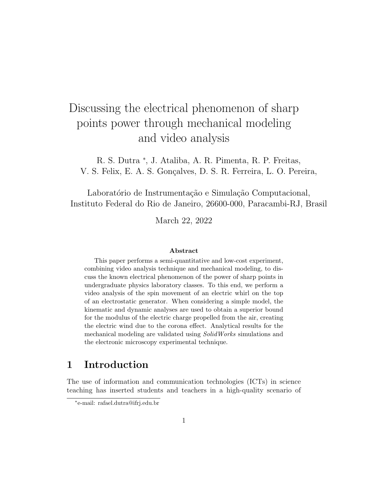# Discussing the electrical phenomenon of sharp points power through mechanical modeling and video analysis

R. S. Dutra <sup>∗</sup> , J. Ataliba, A. R. Pimenta, R. P. Freitas, V. S. Felix, E. A. S. Gonçalves, D. S. R. Ferreira, L. O. Pereira,

Laboratório de Instrumentação e Simulação Computacional, Instituto Federal do Rio de Janeiro, 26600-000, Paracambi-RJ, Brasil

March 22, 2022

#### Abstract

This paper performs a semi-quantitative and low-cost experiment, combining video analysis technique and mechanical modeling, to discuss the known electrical phenomenon of the power of sharp points in undergraduate physics laboratory classes. To this end, we perform a video analysis of the spin movement of an electric whirl on the top of an electrostatic generator. When considering a simple model, the kinematic and dynamic analyses are used to obtain a superior bound for the modulus of the electric charge propelled from the air, creating the electric wind due to the corona effect. Analytical results for the mechanical modeling are validated using SolidWorks simulations and the electronic microscopy experimental technique.

## 1 Introduction

The use of information and communication technologies (ICTs) in science teaching has inserted students and teachers in a high-quality scenario of

<sup>∗</sup> e-mail: rafael.dutra@ifrj.edu.br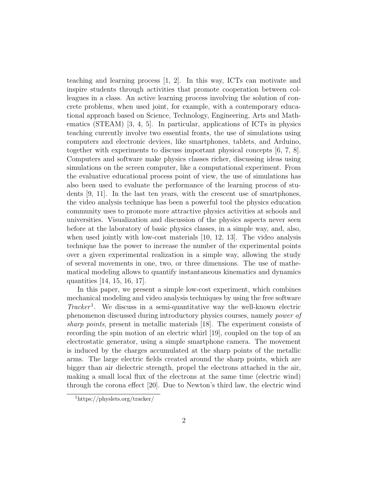teaching and learning process [1, 2]. In this way, ICTs can motivate and inspire students through activities that promote cooperation between colleagues in a class. An active learning process involving the solution of concrete problems, when used joint, for example, with a contemporary educational approach based on Science, Technology, Engineering, Arts and Mathematics (STEAM) [3, 4, 5]. In particular, applications of ICTs in physics teaching currently involve two essential fronts, the use of simulations using computers and electronic devices, like smartphones, tablets, and Arduino, together with experiments to discuss important physical concepts [6, 7, 8]. Computers and software make physics classes richer, discussing ideas using simulations on the screen computer, like a computational experiment. From the evaluative educational process point of view, the use of simulations has also been used to evaluate the performance of the learning process of students [9, 11]. In the last ten years, with the crescent use of smartphones, the video analysis technique has been a powerful tool the physics education community uses to promote more attractive physics activities at schools and universities. Visualization and discussion of the physics aspects never seen before at the laboratory of basic physics classes, in a simple way, and, also, when used jointly with low-cost materials [10, 12, 13]. The video analysis technique has the power to increase the number of the experimental points over a given experimental realization in a simple way, allowing the study of several movements in one, two, or three dimensions. The use of mathematical modeling allows to quantify instantaneous kinematics and dynamics quantities [14, 15, 16, 17].

In this paper, we present a simple low-cost experiment, which combines mechanical modeling and video analysis techniques by using the free software Tracker<sup>1</sup>. We discuss in a semi-quantitative way the well-known electric phenomenon discussed during introductory physics courses, namely power of sharp points, present in metallic materials [18]. The experiment consists of recording the spin motion of an electric whirl [19], coupled on the top of an electrostatic generator, using a simple smartphone camera. The movement is induced by the charges accumulated at the sharp points of the metallic arms. The large electric fields created around the sharp points, which are bigger than air dielectric strength, propel the electrons attached in the air, making a small local flux of the electrons at the same time (electric wind) through the corona effect [20]. Due to Newton's third law, the electric wind

<sup>1</sup>https://physlets.org/tracker/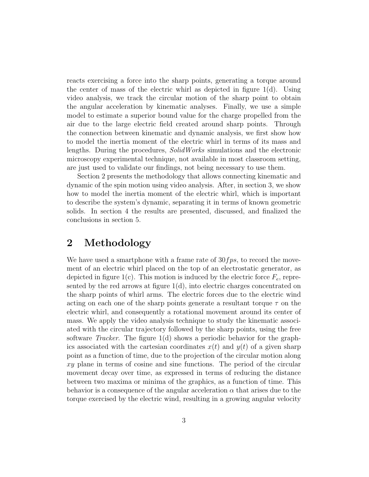reacts exercising a force into the sharp points, generating a torque around the center of mass of the electric whirl as depicted in figure  $1(d)$ . Using video analysis, we track the circular motion of the sharp point to obtain the angular acceleration by kinematic analyses. Finally, we use a simple model to estimate a superior bound value for the charge propelled from the air due to the large electric field created around sharp points. Through the connection between kinematic and dynamic analysis, we first show how to model the inertia moment of the electric whirl in terms of its mass and lengths. During the procedures, SolidWorks simulations and the electronic microscopy experimental technique, not available in most classroom setting, are just used to validate our findings, not being necessary to use them.

Section 2 presents the methodology that allows connecting kinematic and dynamic of the spin motion using video analysis. After, in section 3, we show how to model the inertia moment of the electric whirl, which is important to describe the system's dynamic, separating it in terms of known geometric solids. In section 4 the results are presented, discussed, and finalized the conclusions in section 5.

#### 2 Methodology

We have used a smartphone with a frame rate of  $30fps$ , to record the movement of an electric whirl placed on the top of an electrostatic generator, as depicted in figure 1(c). This motion is induced by the electric force  $F_e$ , represented by the red arrows at figure 1(d), into electric charges concentrated on the sharp points of whirl arms. The electric forces due to the electric wind acting on each one of the sharp points generate a resultant torque  $\tau$  on the electric whirl, and consequently a rotational movement around its center of mass. We apply the video analysis technique to study the kinematic associated with the circular trajectory followed by the sharp points, using the free software *Tracker*. The figure  $1(d)$  shows a periodic behavior for the graphics associated with the cartesian coordinates  $x(t)$  and  $y(t)$  of a given sharp point as a function of time, due to the projection of the circular motion along xy plane in terms of cosine and sine functions. The period of the circular movement decay over time, as expressed in terms of reducing the distance between two maxima or minima of the graphics, as a function of time. This behavior is a consequence of the angular acceleration  $\alpha$  that arises due to the torque exercised by the electric wind, resulting in a growing angular velocity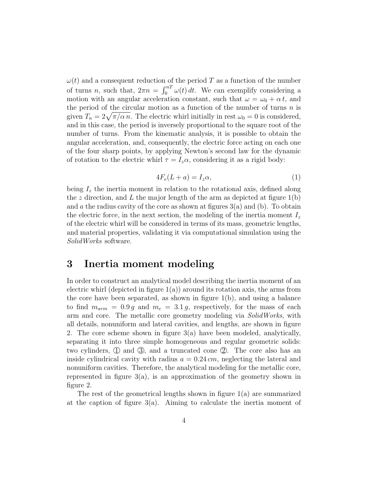$\omega(t)$  and a consequent reduction of the period T as a function of the number of turns *n*, such that,  $2\pi n = \int_0^{nT} \omega(t) dt$ . We can exemplify considering a motion with an angular acceleration constant, such that  $\omega = \omega_0 + \alpha t$ , and the period of the circular motion as a function of the number of turns  $n$  is given  $T_n = 2\sqrt{\pi/\alpha n}$ . The electric whirl initially in rest  $\omega_0 = 0$  is considered, and in this case, the period is inversely proportional to the square root of the number of turns. From the kinematic analysis, it is possible to obtain the angular acceleration, and, consequently, the electric force acting on each one of the four sharp points, by applying Newton's second law for the dynamic of rotation to the electric whirl  $\tau = I_z \alpha$ , considering it as a rigid body:

$$
4F_e(L+a) = I_z \alpha, \tag{1}
$$

being  $I<sub>z</sub>$  the inertia moment in relation to the rotational axis, defined along the z direction, and L the major length of the arm as depicted at figure  $1(b)$ and a the radius cavity of the core as shown at figures  $3(a)$  and (b). To obtain the electric force, in the next section, the modeling of the inertia moment  $I_z$ of the electric whirl will be considered in terms of its mass, geometric lengths, and material properties, validating it via computational simulation using the SolidWorks software.

#### 3 Inertia moment modeling

In order to construct an analytical model describing the inertia moment of an electric whirl (depicted in figure  $1(a)$ ) around its rotation axis, the arms from the core have been separated, as shown in figure 1(b), and using a balance to find  $m_{arm} = 0.9 g$  and  $m_c = 3.1 g$ , respectively, for the mass of each arm and core. The metallic core geometry modeling via *SolidWorks*, with all details, nonuniform and lateral cavities, and lengths, are shown in figure 2. The core scheme shown in figure 3(a) have been modeled, analytically, separating it into three simple homogeneous and regular geometric solids: two cylinders,  $\Phi$  and  $\Phi$ , and a truncated cone  $\Phi$ . The core also has an inside cylindrical cavity with radius  $a = 0.24 \, \text{cm}$ , neglecting the lateral and nonuniform cavities. Therefore, the analytical modeling for the metallic core, represented in figure 3(a), is an approximation of the geometry shown in figure 2.

The rest of the geometrical lengths shown in figure 1(a) are summarized at the caption of figure  $3(a)$ . Aiming to calculate the inertia moment of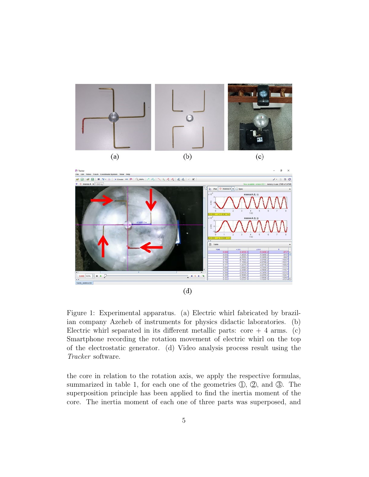



Figure 1: Experimental apparatus. (a) Electric whirl fabricated by brazilian company Azeheb of instruments for physics didactic laboratories. (b) Electric whirl separated in its different metallic parts:  $\text{core} + 4 \text{ arms.}$  (c) Smartphone recording the rotation movement of electric whirl on the top of the electrostatic generator. (d) Video analysis process result using the Tracker software.

the core in relation to the rotation axis, we apply the respective formulas, summarized in table 1, for each one of the geometries  $(1, 2)$ , and  $(3)$ . The superposition principle has been applied to find the inertia moment of the core. The inertia moment of each one of three parts was superposed, and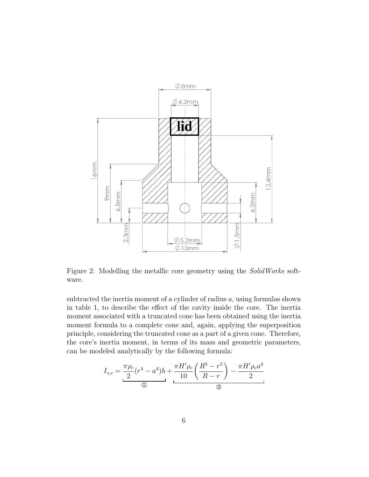

Figure 2: Modelling the metallic core geometry using the *SolidWorks* software.

subtracted the inertia moment of a cylinder of radius  $a$ , using formulas shown in table 1, to describe the effect of the cavity inside the core. The inertia moment associated with a truncated cone has been obtained using the inertia moment formula to a complete cone and, again, applying the superposition principle, considering the truncated cone as a part of a given cone. Therefore, the core's inertia moment, in terms of its mass and geometric parameters, can be modeled analytically by the following formula:

$$
I_{z,c} = \underbrace{\frac{\pi \rho_c}{2} (r^4 - a^4) h}_{\textcircled{1}}
$$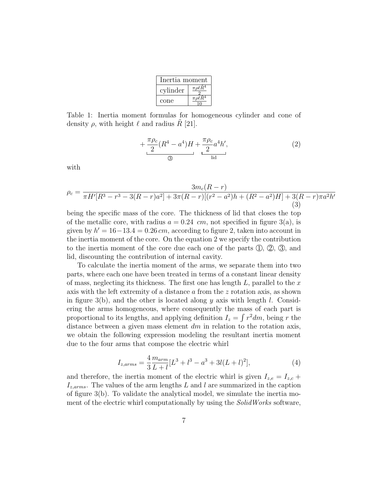| Inertia moment |                           |
|----------------|---------------------------|
| cylinder       | $\pi \rho \ell R^4$       |
| cone           | $\pi \rho \ell \tilde{R}$ |

Table 1: Inertia moment formulas for homogeneous cylinder and cone of density  $\rho$ , with height  $\ell$  and radius R [21].

$$
+\frac{\pi \rho_c}{2} (R^4 - a^4) H + \frac{\pi \rho_c}{2} a^4 h',
$$
\n<sup>(2)</sup>

with

$$
\rho_c = \frac{3m_c(R-r)}{\pi H'[R^3 - r^3 - 3(R-r)a^2] + 3\pi (R-r)[(r^2 - a^2)h + (R^2 - a^2)H] + 3(R-r)\pi a^2 h'}(3)
$$

being the specific mass of the core. The thickness of lid that closes the top of the metallic core, with radius  $a = 0.24$  cm, not specified in figure 3(a), is given by  $h' = 16-13.4 = 0.26$  cm, according to figure 2, taken into account in the inertia moment of the core. On the equation 2 we specify the contribution to the inertia moment of the core due each one of the parts  $(1, 2, 3)$ , and lid, discounting the contribution of internal cavity.

To calculate the inertia moment of the arms, we separate them into two parts, where each one have been treated in terms of a constant linear density of mass, neglecting its thickness. The first one has length  $L$ , parallel to the  $x$ axis with the left extremity of a distance a from the z rotation axis, as shown in figure 3(b), and the other is located along y axis with length l. Considering the arms homogeneous, where consequently the mass of each part is proportional to its lengths, and applying definition  $I_z = \int r^2 dm$ , being r the distance between a given mass element  $dm$  in relation to the rotation axis, we obtain the following expression modeling the resultant inertia moment due to the four arms that compose the electric whirl

$$
I_{z,arms} = \frac{4}{3} \frac{m_{arm}}{L+l} [L^3 + l^3 - a^3 + 3l(L+l)^2],\tag{4}
$$

and therefore, the inertia moment of the electric whirl is given  $I_{z,e} = I_{z,c} +$  $I_{z,arms}$ . The values of the arm lengths L and l are summarized in the caption of figure 3(b). To validate the analytical model, we simulate the inertia moment of the electric whirl computationally by using the *SolidWorks* software,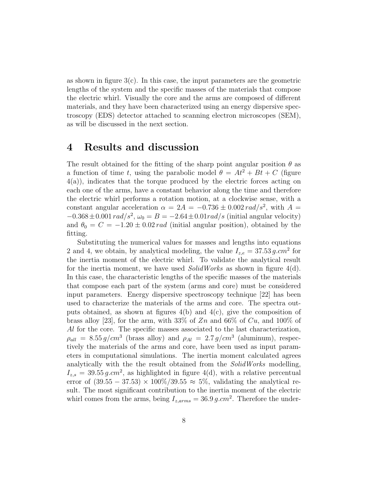as shown in figure  $3(c)$ . In this case, the input parameters are the geometric lengths of the system and the specific masses of the materials that compose the electric whirl. Visually the core and the arms are composed of different materials, and they have been characterized using an energy dispersive spectroscopy (EDS) detector attached to scanning electron microscopes (SEM), as will be discussed in the next section.

#### 4 Results and discussion

The result obtained for the fitting of the sharp point angular position  $\theta$  as a function of time t, using the parabolic model  $\theta = At^2 + Bt + C$  (figure 4(a)), indicates that the torque produced by the electric forces acting on each one of the arms, have a constant behavior along the time and therefore the electric whirl performs a rotation motion, at a clockwise sense, with a constant angular acceleration  $\alpha = 2A = -0.736 \pm 0.002 \, rad/s^2$ , with  $A =$  $-0.368 \pm 0.001 \, rad/s^2, \omega_0 = B = -2.64 \pm 0.01 \, rad/s \, (initial angular \, velocity)$ and  $\theta_0 = C = -1.20 \pm 0.02 \text{ rad}$  (initial angular position), obtained by the fitting.

Substituting the numerical values for masses and lengths into equations 2 and 4, we obtain, by analytical modeling, the value  $I_{z,e} = 37.53 g.cm^2$  for the inertia moment of the electric whirl. To validate the analytical result for the inertia moment, we have used  $\textit{SolidWorks}$  as shown in figure 4(d). In this case, the characteristic lengths of the specific masses of the materials that compose each part of the system (arms and core) must be considered input parameters. Energy dispersive spectroscopy technique [22] has been used to characterize the materials of the arms and core. The spectra outputs obtained, as shown at figures 4(b) and 4(c), give the composition of brass alloy [23], for the arm, with 33% of  $Zn$  and 66% of  $Cu$ , and 100% of Al for the core. The specific masses associated to the last characterization,  $\rho_{all} = 8.55 g/cm^3$  (brass alloy) and  $\rho_{Al} = 2.7 g/cm^3$  (aluminum), respectively the materials of the arms and core, have been used as input parameters in computational simulations. The inertia moment calculated agrees analytically with the the result obtained from the SolidWorks modelling,  $I_{z,s} = 39.55 g.cm^2$ , as highlighted in figure 4(d), with a relative percentual error of  $(39.55 - 37.53) \times 100\%/39.55 \approx 5\%$ , validating the analytical result. The most significant contribution to the inertia moment of the electric whirl comes from the arms, being  $I_{z,arms} = 36.9 g.cm^2$ . Therefore the under-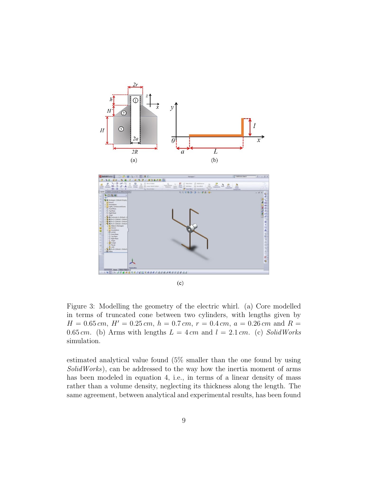

Figure 3: Modelling the geometry of the electric whirl. (a) Core modelled in terms of truncated cone between two cylinders, with lengths given by  $H = 0.65$  cm,  $H' = 0.25$  cm,  $h = 0.7$  cm,  $r = 0.4$  cm,  $a = 0.26$  cm and  $R =$ 0.65 cm. (b) Arms with lengths  $L = 4$  cm and  $l = 2.1$  cm. (c) SolidWorks simulation.

estimated analytical value found (5% smaller than the one found by using SolidWorks), can be addressed to the way how the inertia moment of arms has been modeled in equation 4, i.e., in terms of a linear density of mass rather than a volume density, neglecting its thickness along the length. The same agreement, between analytical and experimental results, has been found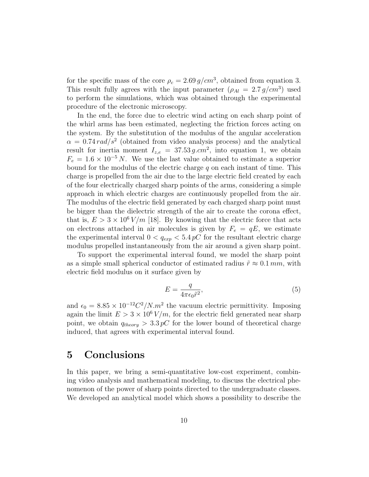for the specific mass of the core  $\rho_c = 2.69 g/cm^3$ , obtained from equation 3. This result fully agrees with the input parameter  $(\rho_{Al} = 2.7 g/cm^3)$  used to perform the simulations, which was obtained through the experimental procedure of the electronic microscopy.

In the end, the force due to electric wind acting on each sharp point of the whirl arms has been estimated, neglecting the friction forces acting on the system. By the substitution of the modulus of the angular acceleration  $\alpha = 0.74 \, rad/s^2$  (obtained from video analysis process) and the analytical result for inertia moment  $I_{z,e} = 37.53 g.cm^2$ , into equation 1, we obtain  $F_e = 1.6 \times 10^{-5} N$ . We use the last value obtained to estimate a superior bound for the modulus of the electric charge  $q$  on each instant of time. This charge is propelled from the air due to the large electric field created by each of the four electrically charged sharp points of the arms, considering a simple approach in which electric charges are continuously propelled from the air. The modulus of the electric field generated by each charged sharp point must be bigger than the dielectric strength of the air to create the corona effect, that is,  $E > 3 \times 10^6$  V/m [18]. By knowing that the electric force that acts on electrons attached in air molecules is given by  $F_e = qE$ , we estimate the experimental interval  $0 < q_{exp} < 5.4 pC$  for the resultant electric charge modulus propelled instantaneously from the air around a given sharp point.

To support the experimental interval found, we model the sharp point as a simple small spherical conductor of estimated radius  $\tilde{r} \approx 0.1 \, \text{mm}$ , with electric field modulus on it surface given by

$$
E = \frac{q}{4\pi\epsilon_0 \tilde{r}^2},\tag{5}
$$

and  $\epsilon_0 = 8.85 \times 10^{-12} C^2 / N.m^2$  the vacuum electric permittivity. Imposing again the limit  $E > 3 \times 10^6 V/m$ , for the electric field generated near sharp point, we obtain  $q_{theory} > 3.3 pC$  for the lower bound of theoretical charge induced, that agrees with experimental interval found.

#### 5 Conclusions

In this paper, we bring a semi-quantitative low-cost experiment, combining video analysis and mathematical modeling, to discuss the electrical phenomenon of the power of sharp points directed to the undergraduate classes. We developed an analytical model which shows a possibility to describe the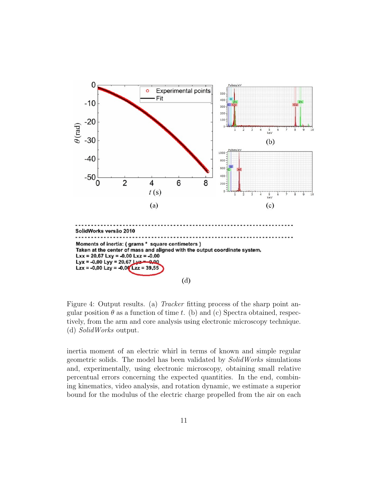

Figure 4: Output results. (a) *Tracker* fitting process of the sharp point angular position  $\theta$  as a function of time t. (b) and (c) Spectra obtained, respectively, from the arm and core analysis using electronic microscopy technique. (d) SolidWorks output.

inertia moment of an electric whirl in terms of known and simple regular geometric solids. The model has been validated by SolidWorks simulations and, experimentally, using electronic microscopy, obtaining small relative percentual errors concerning the expected quantities. In the end, combining kinematics, video analysis, and rotation dynamic, we estimate a superior bound for the modulus of the electric charge propelled from the air on each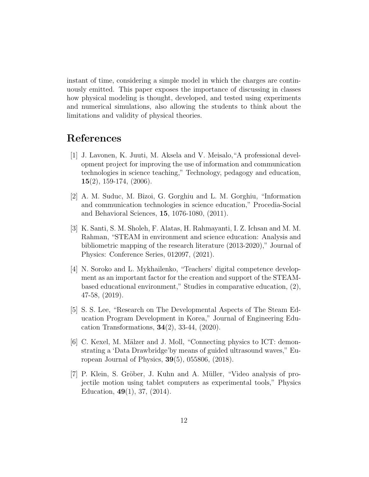instant of time, considering a simple model in which the charges are continuously emitted. This paper exposes the importance of discussing in classes how physical modeling is thought, developed, and tested using experiments and numerical simulations, also allowing the students to think about the limitations and validity of physical theories.

### References

- [1] J. Lavonen, K. Juuti, M. Aksela and V. Meisalo,"A professional development project for improving the use of information and communication technologies in science teaching," Technology, pedagogy and education,  $15(2)$ , 159-174, (2006).
- [2] A. M. Suduc, M. Bˆızoi, G. Gorghiu and L. M. Gorghiu, "Information and communication technologies in science education," Procedia-Social and Behavioral Sciences, 15, 1076-1080, (2011).
- [3] K. Santi, S. M. Sholeh, F. Alatas, H. Rahmayanti, I. Z. Ichsan and M. M. Rahman, "STEAM in environment and science education: Analysis and bibliometric mapping of the research literature (2013-2020)," Journal of Physics: Conference Series, 012097, (2021).
- [4] N. Soroko and L. Mykhailenko, "Teachers' digital competence development as an important factor for the creation and support of the STEAMbased educational environment," Studies in comparative education, (2), 47-58, (2019).
- [5] S. S. Lee, "Research on The Developmental Aspects of The Steam Education Program Development in Korea," Journal of Engineering Education Transformations,  $34(2)$ ,  $33-44$ ,  $(2020)$ .
- [6] C. Kexel, M. Mälzer and J. Moll, "Connecting physics to ICT: demonstrating a 'Data Drawbridge'by means of guided ultrasound waves," European Journal of Physics, 39(5), 055806, (2018).
- [7] P. Klein, S. Gröber, J. Kuhn and A. Müller, "Video analysis of projectile motion using tablet computers as experimental tools," Physics Education, 49(1), 37, (2014).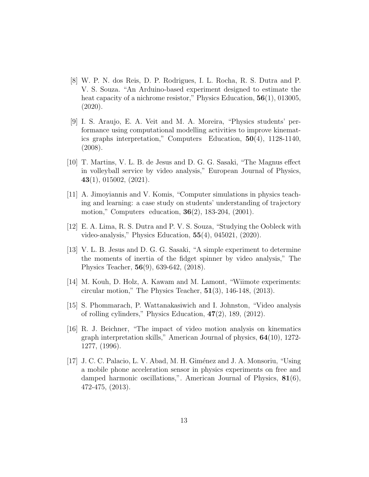- [8] W. P. N. dos Reis, D. P. Rodrigues, I. L. Rocha, R. S. Dutra and P. V. S. Souza. "An Arduino-based experiment designed to estimate the heat capacity of a nichrome resistor," Physics Education,  $56(1)$ , 013005, (2020).
- [9] I. S. Araujo, E. A. Veit and M. A. Moreira, "Physics students' performance using computational modelling activities to improve kinematics graphs interpretation," Computers Education, 50(4), 1128-1140, (2008).
- [10] T. Martins, V. L. B. de Jesus and D. G. G. Sasaki, "The Magnus effect in volleyball service by video analysis," European Journal of Physics, 43(1), 015002, (2021).
- [11] A. Jimoyiannis and V. Komis, "Computer simulations in physics teaching and learning: a case study on students' understanding of trajectory motion," Computers education, 36(2), 183-204, (2001).
- [12] E. A. Lima, R. S. Dutra and P. V. S. Souza, "Studying the Oobleck with video-analysis," Physics Education, 55(4), 045021, (2020).
- [13] V. L. B. Jesus and D. G. G. Sasaki, "A simple experiment to determine the moments of inertia of the fidget spinner by video analysis," The Physics Teacher, 56(9), 639-642, (2018).
- [14] M. Kouh, D. Holz, A. Kawam and M. Lamont, "Wiimote experiments: circular motion," The Physics Teacher,  $51(3)$ , 146-148, (2013).
- [15] S. Phommarach, P. Wattanakasiwich and I. Johnston, "Video analysis of rolling cylinders," Physics Education, 47(2), 189, (2012).
- [16] R. J. Beichner, "The impact of video motion analysis on kinematics graph interpretation skills," American Journal of physics, 64(10), 1272- 1277, (1996).
- [17] J. C. C. Palacio, L. V. Abad, M. H. Giménez and J. A. Monsoriu, "Using a mobile phone acceleration sensor in physics experiments on free and damped harmonic oscillations,". American Journal of Physics, 81(6), 472-475, (2013).